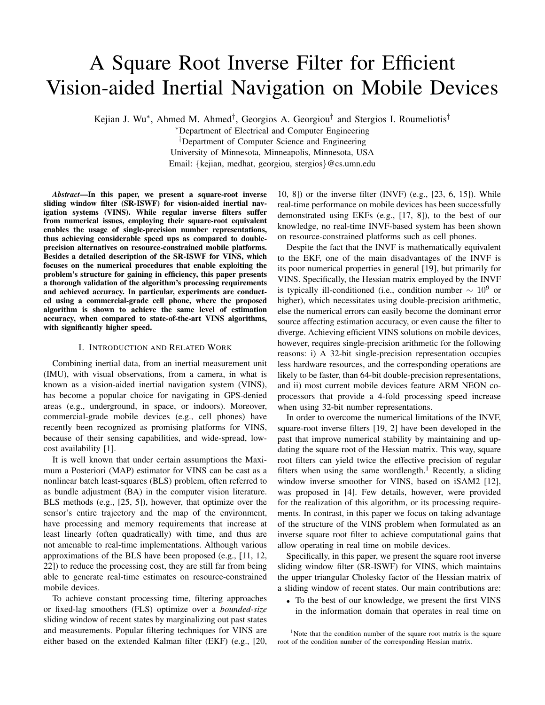# A Square Root Inverse Filter for Efficient Vision-aided Inertial Navigation on Mobile Devices

Kejian J. Wu*∗* , Ahmed M. Ahmed*†* , Georgios A. Georgiou*†* and Stergios I. Roumeliotis*†*

*∗*Department of Electrical and Computer Engineering *†*Department of Computer Science and Engineering University of Minnesota, Minneapolis, Minnesota, USA Email: *{*kejian, medhat, georgiou, stergios*}*@cs.umn.edu

*Abstract*—In this paper, we present a square-root inverse sliding window filter (SR-ISWF) for vision-aided inertial navigation systems (VINS). While regular inverse filters suffer from numerical issues, employing their square-root equivalent enables the usage of single-precision number representations, thus achieving considerable speed ups as compared to doubleprecision alternatives on resource-constrained mobile platforms. Besides a detailed description of the SR-ISWF for VINS, which focuses on the numerical procedures that enable exploiting the problem's structure for gaining in efficiency, this paper presents a thorough validation of the algorithm's processing requirements and achieved accuracy. In particular, experiments are conducted using a commercial-grade cell phone, where the proposed algorithm is shown to achieve the same level of estimation accuracy, when compared to state-of-the-art VINS algorithms, with significantly higher speed.

## I. INTRODUCTION AND RELATED WORK

Combining inertial data, from an inertial measurement unit (IMU), with visual observations, from a camera, in what is known as a vision-aided inertial navigation system (VINS), has become a popular choice for navigating in GPS-denied areas (e.g., underground, in space, or indoors). Moreover, commercial-grade mobile devices (e.g., cell phones) have recently been recognized as promising platforms for VINS, because of their sensing capabilities, and wide-spread, lowcost availability [1].

It is well known that under certain assumptions the Maximum a Posteriori (MAP) estimator for VINS can be cast as a nonlinear batch least-squares (BLS) problem, often referred to as bundle adjustment (BA) in the computer vision literature. BLS methods (e.g., [25, 5]), however, that optimize over the sensor's entire trajectory and the map of the environment, have processing and memory requirements that increase at least linearly (often quadratically) with time, and thus are not amenable to real-time implementations. Although various approximations of the BLS have been proposed (e.g., [11, 12, 22]) to reduce the processing cost, they are still far from being able to generate real-time estimates on resource-constrained mobile devices.

To achieve constant processing time, filtering approaches or fixed-lag smoothers (FLS) optimize over a *bounded-size* sliding window of recent states by marginalizing out past states and measurements. Popular filtering techniques for VINS are either based on the extended Kalman filter (EKF) (e.g., [20,

10, 8]) or the inverse filter (INVF) (e.g., [23, 6, 15]). While real-time performance on mobile devices has been successfully demonstrated using EKFs (e.g., [17, 8]), to the best of our knowledge, no real-time INVF-based system has been shown on resource-constrained platforms such as cell phones.

Despite the fact that the INVF is mathematically equivalent to the EKF, one of the main disadvantages of the INVF is its poor numerical properties in general [19], but primarily for VINS. Specifically, the Hessian matrix employed by the INVF is typically ill-conditioned (i.e., condition number *∼* 10<sup>9</sup> or higher), which necessitates using double-precision arithmetic, else the numerical errors can easily become the dominant error source affecting estimation accuracy, or even cause the filter to diverge. Achieving efficient VINS solutions on mobile devices, however, requires single-precision arithmetic for the following reasons: i) A 32-bit single-precision representation occupies less hardware resources, and the corresponding operations are likely to be faster, than 64-bit double-precision representations, and ii) most current mobile devices feature ARM NEON coprocessors that provide a 4-fold processing speed increase when using 32-bit number representations.

In order to overcome the numerical limitations of the INVF, square-root inverse filters [19, 2] have been developed in the past that improve numerical stability by maintaining and updating the square root of the Hessian matrix. This way, square root filters can yield twice the effective precision of regular filters when using the same wordlength.<sup>1</sup> Recently, a sliding window inverse smoother for VINS, based on iSAM2 [12], was proposed in [4]. Few details, however, were provided for the realization of this algorithm, or its processing requirements. In contrast, in this paper we focus on taking advantage of the structure of the VINS problem when formulated as an inverse square root filter to achieve computational gains that allow operating in real time on mobile devices.

Specifically, in this paper, we present the square root inverse sliding window filter (SR-ISWF) for VINS, which maintains the upper triangular Cholesky factor of the Hessian matrix of a sliding window of recent states. Our main contributions are:

*•* To the best of our knowledge, we present the first VINS in the information domain that operates in real time on

<sup>&</sup>lt;sup>1</sup>Note that the condition number of the square root matrix is the square root of the condition number of the corresponding Hessian matrix.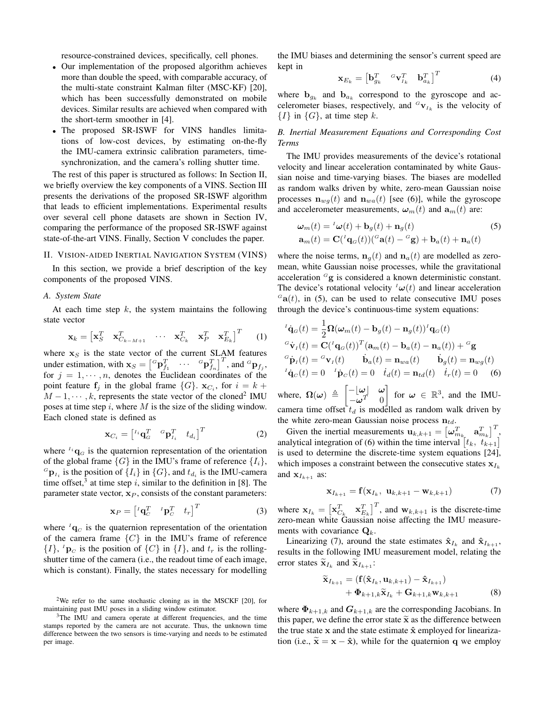resource-constrained devices, specifically, cell phones.

- *•* Our implementation of the proposed algorithm achieves more than double the speed, with comparable accuracy, of the multi-state constraint Kalman filter (MSC-KF) [20], which has been successfully demonstrated on mobile devices. Similar results are achieved when compared with the short-term smoother in [4].
- *•* The proposed SR-ISWF for VINS handles limitations of low-cost devices, by estimating on-the-fly the IMU-camera extrinsic calibration parameters, timesynchronization, and the camera's rolling shutter time.

The rest of this paper is structured as follows: In Section II, we briefly overview the key components of a VINS. Section III presents the derivations of the proposed SR-ISWF algorithm that leads to efficient implementations. Experimental results over several cell phone datasets are shown in Section IV, comparing the performance of the proposed SR-ISWF against state-of-the-art VINS. Finally, Section V concludes the paper.

### II. VISION-AIDED INERTIAL NAVIGATION SYSTEM (VINS)

In this section, we provide a brief description of the key components of the proposed VINS.

## *A. System State*

At each time step *k*, the system maintains the following state vector

$$
\mathbf{x}_{k} = \begin{bmatrix} \mathbf{x}_{S}^{T} & \mathbf{x}_{C_{k-M+1}}^{T} & \cdots & \mathbf{x}_{C_{k}}^{T} & \mathbf{x}_{P}^{T} & \mathbf{x}_{E_{k}}^{T} \end{bmatrix}^{T} (1)
$$

where  $x<sub>S</sub>$  is the state vector of the current SLAM features under estimation, with  $\mathbf{x}_S = \begin{bmatrix} {}^G \mathbf{p}_{f_1}^T & \cdots & {}^G \mathbf{p}_{f_n}^T \end{bmatrix}^T$ , and  ${}^G \mathbf{p}_{f_j}$ , for  $j = 1, \dots, n$ , denotes the Euclidean coordinates of the point feature  $f_j$  in the global frame  $\{G\}$ .  $\mathbf{x}_{C_i}$ , for  $i = k + 1$  $M-1, \dots, k$ , represents the state vector of the cloned<sup>2</sup> IMU poses at time step *i*, where *M* is the size of the sliding window. Each cloned state is defined as

$$
\mathbf{x}_{C_i} = \begin{bmatrix} {}^{I_i} \mathbf{q}_G^T & {}^{G} \mathbf{p}_{I_i}^T & t_{d_i} \end{bmatrix}^T \tag{2}
$$

where  $I_i$ **q** $_G$  is the quaternion representation of the orientation of the global frame  $\{G\}$  in the IMU's frame of reference  $\{I_i\}$ ,  ${}^{G}$ **p**<sub>*I<sub>i</sub>*</sub> is the position of  $\{I_i\}$  in  $\{G\}$ , and  $t_{d_i}$  is the IMU-camera time offset,<sup>3</sup> at time step  $i$ , similar to the definition in [8]. The parameter state vector,  $\mathbf{x}_P$ , consists of the constant parameters:

$$
\mathbf{x}_P = \begin{bmatrix} {}^{t}\mathbf{q}_C^T & {}^{t}\mathbf{p}_C^T & t_r \end{bmatrix}^T \tag{3}
$$

where  ${}^{I}$ **q** $_{C}$  is the quaternion representation of the orientation of the camera frame *{C}* in the IMU's frame of reference  $\{I\}$ ,  $^I$ **p**<sub>*C*</sub> is the position of  $\{C\}$  in  $\{I\}$ , and  $t_r$  is the rollingshutter time of the camera (i.e., the readout time of each image, which is constant). Finally, the states necessary for modelling

<sup>2</sup>We refer to the same stochastic cloning as in the MSCKF [20], for maintaining past IMU poses in a sliding window estimator.

<sup>3</sup>The IMU and camera operate at different frequencies, and the time stamps reported by the camera are not accurate. Thus, the unknown time difference between the two sensors is time-varying and needs to be estimated per image.

the IMU biases and determining the sensor's current speed are kept in

$$
\mathbf{x}_{E_k} = \begin{bmatrix} \mathbf{b}_{g_k}^T & \mathbf{G} \mathbf{v}_{I_k}^T & \mathbf{b}_{a_k}^T \end{bmatrix}^T \tag{4}
$$

where  $\mathbf{b}_{g_k}$  and  $\mathbf{b}_{a_k}$  correspond to the gyroscope and accelerometer biases, respectively, and  ${}^{G}$ **v**<sub>*Ik*</sub> is the velocity of *{I}* in *{G}*, at time step *k*.

# *B. Inertial Measurement Equations and Corresponding Cost Terms*

The IMU provides measurements of the device's rotational velocity and linear acceleration contaminated by white Gaussian noise and time-varying biases. The biases are modelled as random walks driven by white, zero-mean Gaussian noise processes  $\mathbf{n}_{wa}(t)$  and  $\mathbf{n}_{wa}(t)$  [see (6)], while the gyroscope and accelerometer measurements,  $\omega_m(t)$  and  $\mathbf{a}_m(t)$  are:

$$
\omega_m(t) = \frac{\nu_a(t) + \mathbf{b}_g(t) + \mathbf{n}_g(t)}{\mathbf{a}_m(t) = \mathbf{C}(\frac{q_a(t)}{(\mathbf{a}(t))^2(\mathbf{a}(t) - \mathbf{c}_g) + \mathbf{b}_a(t) + \mathbf{n}_a(t))}
$$
(5)

where the noise terms,  $\mathbf{n}_q(t)$  and  $\mathbf{n}_q(t)$  are modelled as zeromean, white Gaussian noise processes, while the gravitational acceleration *<sup>G</sup>***g** is considered a known deterministic constant. The device's rotational velocity  $^I\omega(t)$  and linear acceleration  $G_{\bf a}(t)$ , in (5), can be used to relate consecutive IMU poses through the device's continuous-time system equations:

$$
\begin{aligned}\n^I \dot{\mathbf{q}}_G(t) &= \frac{1}{2} \mathbf{\Omega} (\boldsymbol{\omega}_m(t) - \mathbf{b}_g(t) - \mathbf{n}_g(t))^T \mathbf{q}_G(t) \\
^G \dot{\mathbf{v}}_I(t) &= \mathbf{C} (\,^I \mathbf{q}_G(t))^T (\mathbf{a}_m(t) - \mathbf{b}_a(t) - \mathbf{n}_a(t)) + \,^G \mathbf{g} \\
^G \dot{\mathbf{p}}_I(t) &= \,^G \mathbf{v}_I(t) \qquad \dot{\mathbf{b}}_a(t) = \mathbf{n}_{wa}(t) \qquad \dot{\mathbf{b}}_g(t) = \mathbf{n}_{wg}(t) \\
^I \dot{\mathbf{q}}_C(t) &= \,0 \qquad^I \dot{\mathbf{p}}_C(t) = 0 \qquad \dot{t}_d(t) = \mathbf{n}_{td}(t) \qquad \dot{t}_r(t) = 0 \qquad (6)\n\end{aligned}
$$

where,  $\Omega(\omega) \triangleq$ [ *−⌊ω⌋ ω −ω <sup>T</sup>* 0 ] for  $\omega \in \mathbb{R}^3$ , and the IMUcamera time offset  $t_d$  is modelled as random walk driven by the white zero-mean Gaussian noise process **n***td*.

Given the inertial measurements  $\mathbf{u}_{k,k+1} = \begin{bmatrix} \boldsymbol{\omega}_{m_k}^T & \mathbf{a}_{m_k}^T \end{bmatrix}^T$ , analytical integration of (6) within the time interval  $[t_k, t_{k+1}]$ is used to determine the discrete-time system equations [24], which imposes a constraint between the consecutive states  $\mathbf{x}_{I_k}$ and  $\mathbf{x}_{I_{k+1}}$  as:

$$
\mathbf{x}_{I_{k+1}} = \mathbf{f}(\mathbf{x}_{I_k}, \ \mathbf{u}_{k,k+1} - \mathbf{w}_{k,k+1}) \tag{7}
$$

where  $\mathbf{x}_{I_k} = \begin{bmatrix} \mathbf{x}_{C_k}^T & \mathbf{x}_{E_k}^T \end{bmatrix}^T$ , and  $\mathbf{w}_{k,k+1}$  is the discrete-time zero-mean white Gaussian noise affecting the IMU measurements with covariance  $Q_k$ .

Linearizing (7), around the state estimates  $\hat{\mathbf{x}}_{I_k}$  and  $\hat{\mathbf{x}}_{I_{k+1}}$ , results in the following IMU measurement model, relating the error states  $\widetilde{\mathbf{x}}_{I_k}$  and  $\widetilde{\mathbf{x}}_{I_{k+1}}$ :

$$
\widetilde{\mathbf{x}}_{I_{k+1}} = (\mathbf{f}(\widehat{\mathbf{x}}_{I_k}, \mathbf{u}_{k,k+1}) - \widehat{\mathbf{x}}_{I_{k+1}}) + \Phi_{k+1,k} \widetilde{\mathbf{x}}_{I_k} + \mathbf{G}_{k+1,k} \mathbf{w}_{k,k+1}
$$
(8)

where  $\Phi_{k+1,k}$  and  $G_{k+1,k}$  are the corresponding Jacobians. In this paper, we define the error state  $\tilde{\mathbf{x}}$  as the difference between the true state **x** and the state estimate **ˆx** employed for linearization (i.e.,  $\tilde{\mathbf{x}} = \mathbf{x} - \hat{\mathbf{x}}$ ), while for the quaternion **q** we employ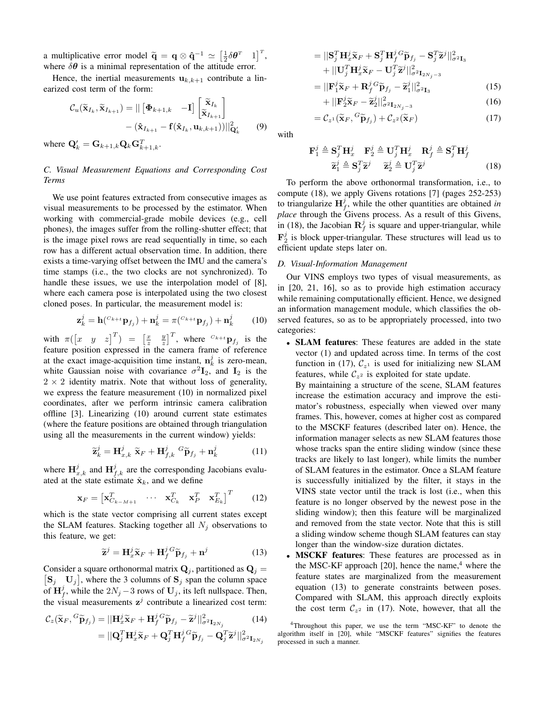a multiplicative error model  $\tilde{\mathbf{q}} = \mathbf{q} \otimes \hat{\mathbf{q}}^{-1} \simeq \left[\frac{1}{2}\delta\theta^T \quad 1\right]^T$ , where  $\delta\theta$  is a minimal representation of the attitude error.

Hence, the inertial measurements  $\mathbf{u}_{k,k+1}$  contribute a linearized cost term of the form:

$$
\mathcal{C}_{u}(\widetilde{\mathbf{x}}_{I_{k}}, \widetilde{\mathbf{x}}_{I_{k+1}}) = || [\mathbf{\Phi}_{k+1,k} \quad -\mathbf{I}] \begin{bmatrix} \widetilde{\mathbf{x}}_{I_{k}} \\ \widetilde{\mathbf{x}}_{I_{k+1}} \end{bmatrix} - (\widehat{\mathbf{x}}_{I_{k+1}} - \mathbf{f}(\widehat{\mathbf{x}}_{I_{k}}, \mathbf{u}_{k,k+1})) ||_{\mathbf{Q}'_{k}}^2 \qquad (9)
$$

where  $\mathbf{Q}'_k = \mathbf{G}_{k+1,k} \mathbf{Q}_k \mathbf{G}_{k+1,k}^T$ .

# *C. Visual Measurement Equations and Corresponding Cost Terms*

We use point features extracted from consecutive images as visual measurements to be processed by the estimator. When working with commercial-grade mobile devices (e.g., cell phones), the images suffer from the rolling-shutter effect; that is the image pixel rows are read sequentially in time, so each row has a different actual observation time. In addition, there exists a time-varying offset between the IMU and the camera's time stamps (i.e., the two clocks are not synchronized). To handle these issues, we use the interpolation model of [8], where each camera pose is interpolated using the two closest cloned poses. In particular, the measurement model is:

$$
\mathbf{z}_k^j = \mathbf{h} \left( {}^{C_{k+1}} \mathbf{p}_{f_j} \right) + \mathbf{n}_k^j = \pi \left( {}^{C_{k+1}} \mathbf{p}_{f_j} \right) + \mathbf{n}_k^j \tag{10}
$$

with  $\pi([x \ y \ z]^T) = \left[\frac{x}{z} \ \frac{y}{z}\right]^T$ , where  $C_{k+t}$  **p**<sub>*f<sub>j</sub>* is the</sub> feature position expressed in the camera frame of reference at the exact image-acquisition time instant,  $\mathbf{n}_k^j$  is zero-mean, white Gaussian noise with covariance  $\sigma^2 \mathbf{I}_2$ , and  $\mathbf{I}_2$  is the  $2 \times 2$  identity matrix. Note that without loss of generality, we express the feature measurement (10) in normalized pixel coordinates, after we perform intrinsic camera calibration offline [3]. Linearizing (10) around current state estimates (where the feature positions are obtained through triangulation using all the measurements in the current window) yields:

$$
\widetilde{\mathbf{z}}_k^j = \mathbf{H}_{x,k}^j \ \widetilde{\mathbf{x}}_F + \mathbf{H}_{f,k}^j \ G \widetilde{\mathbf{p}}_{f_j} + \mathbf{n}_k^j \tag{11}
$$

where  $\mathbf{H}_{x,k}^j$  and  $\mathbf{H}_{f,k}^j$  are the corresponding Jacobians evaluated at the state estimate  $\hat{\mathbf{x}}_k$ , and we define

$$
\mathbf{x}_F = \begin{bmatrix} \mathbf{x}_{C_{k-M+1}}^T & \cdots & \mathbf{x}_{C_k}^T & \mathbf{x}_P^T & \mathbf{x}_{E_k}^T \end{bmatrix}^T
$$
 (12)

which is the state vector comprising all current states except the SLAM features. Stacking together all  $N_i$  observations to this feature, we get:

$$
\widetilde{\mathbf{z}}^{j} = \mathbf{H}_{x}^{j} \widetilde{\mathbf{x}}_{F} + \mathbf{H}_{f}^{j} {^{G}} \widetilde{\mathbf{p}}_{f_{j}} + \mathbf{n}^{j}
$$
(13)

Consider a square orthonormal matrix  $\mathbf{Q}_j$ , partitioned as  $\mathbf{Q}_j$  =  $\mathbf{S}_j$   $\mathbf{U}_j$ , where the 3 columns of  $\mathbf{S}_j$  span the column space of  $\mathbf{H}_{f}^{j}$ , while the  $2N_{j}$  – 3 rows of  $\mathbf{U}_{j}$ , its left nullspace. Then, the visual measurements  $z^j$  contribute a linearized cost term:

$$
\mathcal{C}_{z}(\widetilde{\mathbf{x}}_{F}, {}^{G}\widetilde{\mathbf{p}}_{f_{j}}) = ||\mathbf{H}_{x}^{j}\widetilde{\mathbf{x}}_{F} + \mathbf{H}_{f}^{j} {}^{G}\widetilde{\mathbf{p}}_{f_{j}} - \widetilde{\mathbf{z}}^{j}||_{\sigma^{2}\mathbf{I}_{2N_{j}}}^{2}
$$
(14)  

$$
= ||\mathbf{Q}_{j}^{T}\mathbf{H}_{x}^{j}\widetilde{\mathbf{x}}_{F} + \mathbf{Q}_{j}^{T}\mathbf{H}_{f}^{j} {}^{G}\widetilde{\mathbf{p}}_{f_{j}} - \mathbf{Q}_{j}^{T}\widetilde{\mathbf{z}}^{j}||_{\sigma^{2}\mathbf{I}_{2N_{j}}}^{2}
$$

$$
= ||\mathbf{S}_{j}^{T} \mathbf{H}_{x}^{j} \tilde{\mathbf{x}}_{F} + \mathbf{S}_{j}^{T} \mathbf{H}_{f}^{j} \tilde{\mathbf{p}}_{f_{j}} - \mathbf{S}_{j}^{T} \tilde{\mathbf{z}}^{j} ||_{\sigma^{2} \mathbf{I}_{3}}^{2} + ||\mathbf{U}_{j}^{T} \mathbf{H}_{x}^{j} \tilde{\mathbf{x}}_{F} - \mathbf{U}_{j}^{T} \tilde{\mathbf{z}}^{j} ||_{\sigma^{2} \mathbf{I}_{2N_{j}-3}}^{2} = ||\mathbf{F}_{1}^{j} \tilde{\mathbf{x}}_{F} + \mathbf{R}_{f}^{j} \tilde{\mathbf{p}}_{f_{j}}^{G} - \tilde{\mathbf{z}}_{1}^{j} ||_{\sigma^{2} \mathbf{I}_{2}}^{2}
$$
(15)

$$
= ||\mathbf{F}_1^j \widetilde{\mathbf{x}}_F + \mathbf{R}_f^j \widetilde{\mathbf{p}}_{f_j} - \widetilde{\mathbf{z}}_1^j||_{\sigma^2 \mathbf{I}_3}^2
$$
(15)

$$
+ \left\| \mathbf{F}_2^j \widetilde{\mathbf{x}}_F - \widetilde{\mathbf{z}}_2^j \right\|_{\sigma^2 \mathbf{I}_{2N_j - 3}}^2 \tag{16}
$$

$$
= \mathcal{C}_{z^1}(\widetilde{\mathbf{x}}_F, {}^G \widetilde{\mathbf{p}}_{f_j}) + \mathcal{C}_{z^2}(\widetilde{\mathbf{x}}_F)
$$
 (17)

with

$$
\mathbf{F}_1^j \triangleq \mathbf{S}_j^T \mathbf{H}_x^j \quad \mathbf{F}_2^j \triangleq \mathbf{U}_j^T \mathbf{H}_x^j \quad \mathbf{R}_f^j \triangleq \mathbf{S}_j^T \mathbf{H}_f^j
$$
  

$$
\widetilde{\mathbf{z}}_1^j \triangleq \mathbf{S}_j^T \widetilde{\mathbf{z}}_2^j \quad \widetilde{\mathbf{z}}_2^j \triangleq \mathbf{U}_j^T \widetilde{\mathbf{z}}_2^j \tag{18}
$$

To perform the above orthonormal transformation, i.e., to compute (18), we apply Givens rotations [7] (pages 252-253) to triangularize  $\mathbf{H}_f^j$ , while the other quantities are obtained *in place* through the Givens process. As a result of this Givens, in (18), the Jacobian  $\mathbf{R}_f^j$  is square and upper-triangular, while  $\mathbf{F}_2^j$  is block upper-triangular. These structures will lead us to efficient update steps later on.

# *D. Visual-Information Management*

Our VINS employs two types of visual measurements, as in [20, 21, 16], so as to provide high estimation accuracy while remaining computationally efficient. Hence, we designed an information management module, which classifies the observed features, so as to be appropriately processed, into two categories:

*•* SLAM features: These features are added in the state vector (1) and updated across time. In terms of the cost function in (17),  $C_{z<sup>1</sup>}$  is used for initializing new SLAM features, while  $C_{z^2}$  is exploited for state update.

By maintaining a structure of the scene, SLAM features increase the estimation accuracy and improve the estimator's robustness, especially when viewed over many frames. This, however, comes at higher cost as compared to the MSCKF features (described later on). Hence, the information manager selects as new SLAM features those whose tracks span the entire sliding window (since these tracks are likely to last longer), while limits the number of SLAM features in the estimator. Once a SLAM feature is successfully initialized by the filter, it stays in the VINS state vector until the track is lost (i.e., when this feature is no longer observed by the newest pose in the sliding window); then this feature will be marginalized and removed from the state vector. Note that this is still a sliding window scheme though SLAM features can stay longer than the window-size duration dictates.

**MSCKF** features: These features are processed as in the MSC-KF approach  $[20]$ , hence the name,<sup>4</sup> where the feature states are marginalized from the measurement equation (13) to generate constraints between poses. Compared with SLAM, this approach directly exploits the cost term  $C_{z^2}$  in (17). Note, however, that all the

<sup>4</sup>Throughout this paper, we use the term "MSC-KF" to denote the algorithm itself in [20], while "MSCKF features" signifies the features processed in such a manner.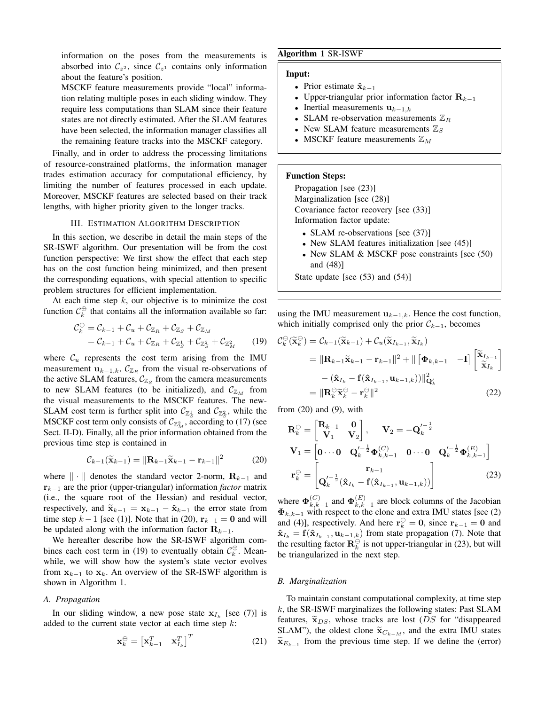information on the poses from the measurements is absorbed into  $C_{z^2}$ , since  $C_{z^1}$  contains only information about the feature's position.

MSCKF feature measurements provide "local" information relating multiple poses in each sliding window. They require less computations than SLAM since their feature states are not directly estimated. After the SLAM features have been selected, the information manager classifies all the remaining feature tracks into the MSCKF category.

Finally, and in order to address the processing limitations of resource-constrained platforms, the information manager trades estimation accuracy for computational efficiency, by limiting the number of features processed in each update. Moreover, MSCKF features are selected based on their track lengths, with higher priority given to the longer tracks.

## III. ESTIMATION ALGORITHM DESCRIPTION

In this section, we describe in detail the main steps of the SR-ISWF algorithm. Our presentation will be from the cost function perspective: We first show the effect that each step has on the cost function being minimized, and then present the corresponding equations, with special attention to specific problem structures for efficient implementation.

At each time step *k*, our objective is to minimize the cost function  $\mathcal{C}_k^{\oplus}$  that contains all the information available so far:

$$
C_k^{\oplus} = C_{k-1} + C_u + C_{\mathbb{Z}_R} + C_{\mathbb{Z}_S} + C_{\mathbb{Z}_M}
$$
  
=  $C_{k-1} + C_u + C_{\mathbb{Z}_R} + C_{\mathbb{Z}_S} + C_{\mathbb{Z}_S} + C_{\mathbb{Z}_M}^2$  (19)

where  $\mathcal{C}_u$  represents the cost term arising from the IMU measurement  $\mathbf{u}_{k-1,k}$ ,  $\mathcal{C}_{\mathbb{Z}_R}$  from the visual re-observations of the active SLAM features,  $C_{\mathbb{Z}_S}$  from the camera measurements to new SLAM features (to be initialized), and  $C_{\mathbb{Z}_M}$  from the visual measurements to the MSCKF features. The new-SLAM cost term is further split into  $\mathcal{C}_{\mathbb{Z}_S^1}$  and  $\mathcal{C}_{\mathbb{Z}_S^2}$ , while the MSCKF cost term only consists of  $\mathcal{C}_{\mathbb{Z}_{M}^{2}}$ , according to (17) (see Sect. II-D). Finally, all the prior information obtained from the previous time step is contained in

$$
\mathcal{C}_{k-1}(\widetilde{\mathbf{x}}_{k-1}) = \|\mathbf{R}_{k-1}\widetilde{\mathbf{x}}_{k-1} - \mathbf{r}_{k-1}\|^2 \tag{20}
$$

where *∥ · ∥* denotes the standard vector 2-norm, **R***<sup>k</sup>−*<sup>1</sup> and **r***<sup>k</sup>−*<sup>1</sup> are the prior (upper-triangular) information *factor* matrix (i.e., the square root of the Hessian) and residual vector, respectively, and  $\tilde{\mathbf{x}}_{k-1} = \mathbf{x}_{k-1} - \hat{\mathbf{x}}_{k-1}$  the error state from time step  $k-1$  [see (1)]. Note that in (20),  $\mathbf{r}_{k-1} = \mathbf{0}$  and will be updated along with the information factor  $\mathbf{R}_{k-1}$ .

We hereafter describe how the SR-ISWF algorithm combines each cost term in (19) to eventually obtain  $\mathcal{C}_k^{\oplus}$ . Meanwhile, we will show how the system's state vector evolves from  $\mathbf{x}_{k-1}$  to  $\mathbf{x}_k$ . An overview of the SR-ISWF algorithm is shown in Algorithm 1.

## *A. Propagation*

In our sliding window, a new pose state  $\mathbf{x}_{I_k}$  [see (7)] is added to the current state vector at each time step *k*:

$$
\mathbf{x}_k^{\ominus} = \begin{bmatrix} \mathbf{x}_{k-1}^T & \mathbf{x}_{I_k}^T \end{bmatrix}^T
$$
 (21)

# Algorithm 1 SR-ISWF

# Input:

- *•* Prior estimate **ˆx***<sup>k</sup>−*<sup>1</sup>
- *•* Upper-triangular prior information factor **R***<sup>k</sup>−*<sup>1</sup>
- *•* Inertial measurements **u***<sup>k</sup>−*1*,k*
- SLAM re-observation measurements  $\mathbb{Z}_R$
- New SLAM feature measurements  $\mathbb{Z}_S$
- MSCKF feature measurements  $\mathbb{Z}_M$

# Function Steps:

Propagation [see (23)] Marginalization [see (28)] Covariance factor recovery [see (33)] Information factor update:

- SLAM re-observations [see (37)]
- New SLAM features initialization [see (45)]
- New SLAM & MSCKF pose constraints [see (50) and (48)]

State update [see (53) and (54)]

using the IMU measurement  $\mathbf{u}_{k-1,k}$ . Hence the cost function, which initially comprised only the prior  $C_{k-1}$ , becomes

$$
C_k^{\ominus}(\widetilde{\mathbf{x}}_k^{\ominus}) = C_{k-1}(\widetilde{\mathbf{x}}_{k-1}) + C_u(\widetilde{\mathbf{x}}_{I_{k-1}}, \widetilde{\mathbf{x}}_{I_k})
$$
  
\n
$$
= ||\mathbf{R}_{k-1}\widetilde{\mathbf{x}}_{k-1} - \mathbf{r}_{k-1}||^2 + ||[\mathbf{\Phi}_{k,k-1} - \mathbf{I}] \begin{bmatrix} \widetilde{\mathbf{x}}_{I_{k-1}} \\ \widetilde{\mathbf{x}}_{I_k} \end{bmatrix}
$$
  
\n
$$
- (\widehat{\mathbf{x}}_{I_k} - \mathbf{f}(\widehat{\mathbf{x}}_{I_{k-1}}, \mathbf{u}_{k-1,k})) ||_{\mathbf{Q}_k'}^2
$$
  
\n
$$
= ||\mathbf{R}_k^{\ominus} \widetilde{\mathbf{x}}_k^{\ominus} - \mathbf{r}_k^{\ominus}||^2
$$
 (22)

from  $(20)$  and  $(9)$ , with

$$
\mathbf{R}_{k}^{\ominus} = \begin{bmatrix} \mathbf{R}_{k-1} & \mathbf{0} \\ \mathbf{V}_{1} & \mathbf{V}_{2} \end{bmatrix}, \quad \mathbf{V}_{2} = -\mathbf{Q}_{k}^{\prime - \frac{1}{2}} \n\mathbf{V}_{1} = \begin{bmatrix} \mathbf{0} \cdots \mathbf{0} & \mathbf{Q}_{k}^{\prime - \frac{1}{2}} \mathbf{\Phi}_{k,k-1}^{(C)} & \mathbf{0} \cdots \mathbf{0} & \mathbf{Q}_{k}^{\prime - \frac{1}{2}} \mathbf{\Phi}_{k,k-1}^{(E)} \end{bmatrix} \n\mathbf{r}_{k}^{\ominus} = \begin{bmatrix} \mathbf{r}_{k-1} \\ \mathbf{Q}_{k}^{\prime - \frac{1}{2}} (\hat{\mathbf{x}}_{I_{k}} - \mathbf{f}(\hat{\mathbf{x}}_{I_{k-1}}, \mathbf{u}_{k-1,k})) \end{bmatrix}
$$
\n(23)

where  $\Phi_{k,k}^{(C)}$  $_{k,k-1}^{(C)}$  and  $\Phi_{k,k}^{(E)}$  $\binom{E}{k,k-1}$  are block columns of the Jacobian **Φ***k,k−*<sup>1</sup> with respect to the clone and extra IMU states [see (2) and (4)], respectively. And here  $\mathbf{r}_k^{\ominus} = \mathbf{0}$ , since  $\mathbf{r}_{k-1} = \mathbf{0}$  and  $\hat{\mathbf{x}}_{I_k} = \mathbf{f}(\hat{\mathbf{x}}_{I_{k-1}}, \mathbf{u}_{k-1,k})$  from state propagation (7). Note that the resulting factor  $\mathbf{R}_k^{\ominus}$  is not upper-triangular in (23), but will be triangularized in the next step.

# *B. Marginalization*

To maintain constant computational complexity, at time step *k*, the SR-ISWF marginalizes the following states: Past SLAM features,  $\tilde{\mathbf{x}}_{DS}$ , whose tracks are lost (*DS* for "disappeared SLAM"), the oldest clone  $\tilde{\mathbf{x}}_{C_k - M}$ , and the extra IMU states  $\widetilde{\mathbf{x}}_{E_{k-1}}$  from the previous time step. If we define the (error)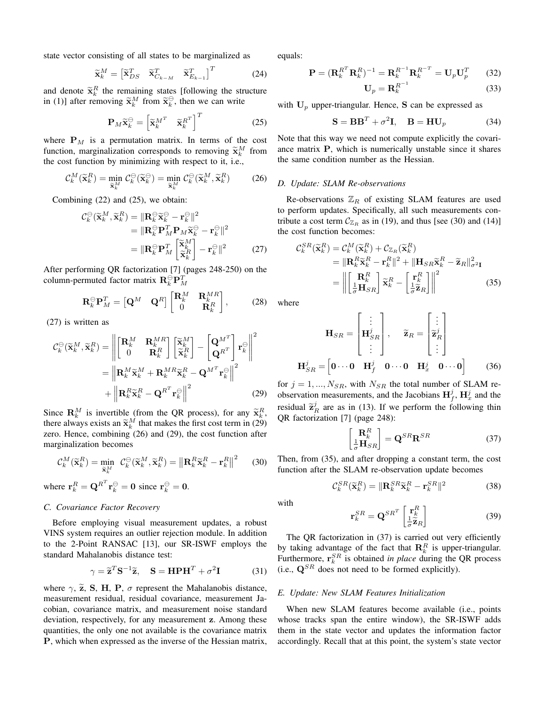state vector consisting of all states to be marginalized as

$$
\widetilde{\mathbf{x}}_k^M = \begin{bmatrix} \widetilde{\mathbf{x}}_{DS}^T & \widetilde{\mathbf{x}}_{C_{k-M}}^T & \widetilde{\mathbf{x}}_{E_{k-1}}^T \end{bmatrix}^T
$$
(24)

and denote  $\tilde{\mathbf{x}}_k^R$  the remaining states [following the structure in (1)] after removing  $\tilde{\mathbf{x}}_k^M$  from  $\tilde{\mathbf{x}}_k^{\ominus}$ , then we can write

$$
\mathbf{P}_M \widetilde{\mathbf{x}}_k^{\ominus} = \begin{bmatrix} \widetilde{\mathbf{x}}_k^{M^T} & \widetilde{\mathbf{x}}_k^{R^T} \end{bmatrix}^T
$$
 (25)

where  $P_M$  is a permutation matrix. In terms of the cost function, marginalization corresponds to removing  $\widetilde{\mathbf{x}}_k^M$  from the second frontient by minimizing with assumed to it. the cost function by minimizing with respect to it, i.e.,

$$
\mathcal{C}_{k}^{M}(\widetilde{\mathbf{x}}_{k}^{R}) = \min_{\widetilde{\mathbf{x}}_{k}^{M}} \mathcal{C}_{k}^{\ominus}(\widetilde{\mathbf{x}}_{k}^{\ominus}) = \min_{\widetilde{\mathbf{x}}_{k}^{M}} \mathcal{C}_{k}^{\ominus}(\widetilde{\mathbf{x}}_{k}^{M}, \widetilde{\mathbf{x}}_{k}^{R})
$$
(26)

Combining (22) and (25), we obtain:

$$
C_k^{\ominus}(\widetilde{\mathbf{x}}_k^M, \widetilde{\mathbf{x}}_k^R) = \|\mathbf{R}_k^{\ominus} \widetilde{\mathbf{x}}_k^{\ominus} - \mathbf{r}_k^{\ominus}\|^2
$$
  
\n
$$
= \|\mathbf{R}_k^{\ominus} \mathbf{P}_M^T \mathbf{P}_M \widetilde{\mathbf{x}}_k^{\ominus} - \mathbf{r}_k^{\ominus}\|^2
$$
  
\n
$$
= \|\mathbf{R}_k^{\ominus} \mathbf{P}_M^T \begin{bmatrix} \widetilde{\mathbf{x}}_k^M\\ \widetilde{\mathbf{x}}_k^R \end{bmatrix} - \mathbf{r}_k^{\ominus}\|^2
$$
 (27)

After performing QR factorization [7] (pages 248-250) on the column-permuted factor matrix  $\mathbf{R}_k^{\ominus} \mathbf{P}_M^T$ 

$$
\mathbf{R}_k \Theta_M^T = \begin{bmatrix} \mathbf{Q}^M & \mathbf{Q}^R \end{bmatrix} \begin{bmatrix} \mathbf{R}_k^M & \mathbf{R}_k^{MR} \\ 0 & \mathbf{R}_k^R \end{bmatrix}, \quad (28)
$$

(27) is written as

$$
C_k^{\ominus}(\widetilde{\mathbf{x}}_k^M, \widetilde{\mathbf{x}}_k^R) = \left\| \begin{bmatrix} \mathbf{R}_k^M & \mathbf{R}_k^{MR} \\ 0 & \mathbf{R}_k^R \end{bmatrix} \begin{bmatrix} \widetilde{\mathbf{x}}_k^M \\ \widetilde{\mathbf{x}}_k^R \end{bmatrix} - \begin{bmatrix} \mathbf{Q}^{M^T} \\ \mathbf{Q}^{R^T} \end{bmatrix} \mathbf{r}_k^{\ominus} \right\|^2
$$

$$
= \left\| \mathbf{R}_k^M \widetilde{\mathbf{x}}_k^M + \mathbf{R}_k^{MR} \widetilde{\mathbf{x}}_k^R - \mathbf{Q}^{M^T} \mathbf{r}_k^{\ominus} \right\|^2
$$

$$
+ \left\| \mathbf{R}_k^R \widetilde{\mathbf{x}}_k^R - \mathbf{Q}^{R^T} \mathbf{r}_k^{\ominus} \right\|^2 \tag{29}
$$

Since  $\mathbf{R}_k^M$  is invertible (from the QR process), for any  $\tilde{\mathbf{x}}_k^R$ , there always exists an  $\tilde{\mathbf{x}}_k^M$  that makes the first cost term in (29) zero. Hence, combining (26) and (29), the cost function after marginalization becomes

$$
\mathcal{C}_k^M(\widetilde{\mathbf{x}}_k^R) = \min_{\widetilde{\mathbf{x}}_k^M} \ \mathcal{C}_k^{\ominus}(\widetilde{\mathbf{x}}_k^M, \widetilde{\mathbf{x}}_k^R) = \left\| \mathbf{R}_k^R \widetilde{\mathbf{x}}_k^R - \mathbf{r}_k^R \right\|^2 \tag{30}
$$

where  $\mathbf{r}_k^R = \mathbf{Q}^{R^T} \mathbf{r}_k^{\ominus} = \mathbf{0}$  since  $\mathbf{r}_k^{\ominus} = \mathbf{0}$ .

# *C. Covariance Factor Recovery*

Before employing visual measurement updates, a robust VINS system requires an outlier rejection module. In addition to the 2-Point RANSAC [13], our SR-ISWF employs the standard Mahalanobis distance test:

$$
\gamma = \widetilde{\mathbf{z}}^T \mathbf{S}^{-1} \widetilde{\mathbf{z}}, \quad \mathbf{S} = \mathbf{H} \mathbf{P} \mathbf{H}^T + \sigma^2 \mathbf{I}
$$
 (31)

where  $\gamma$ ,  $\tilde{z}$ , **S**, **H**, **P**,  $\sigma$  represent the Mahalanobis distance, measurement residual, residual covariance, measurement Jacobian, covariance matrix, and measurement noise standard deviation, respectively, for any measurement **z**. Among these quantities, the only one not available is the covariance matrix **P**, which when expressed as the inverse of the Hessian matrix, equals:

$$
\mathbf{P} = (\mathbf{R}_k^{R^T} \mathbf{R}_k^{R})^{-1} = \mathbf{R}_k^{R^{-1}} \mathbf{R}_k^{R^{-T}} = \mathbf{U}_p \mathbf{U}_p^T \qquad (32)
$$

$$
\mathbf{U}_p = \mathbf{R}_k^{R^{-1}} \qquad (33)
$$

with  $U_p$  upper-triangular. Hence, **S** can be expressed as

$$
\mathbf{S} = \mathbf{B}\mathbf{B}^T + \sigma^2 \mathbf{I}, \quad \mathbf{B} = \mathbf{H}\mathbf{U}_p \tag{34}
$$

Note that this way we need not compute explicitly the covariance matrix **P**, which is numerically unstable since it shares the same condition number as the Hessian.

#### *D. Update: SLAM Re-observations*

Re-observations  $\mathbb{Z}_R$  of existing SLAM features are used to perform updates. Specifically, all such measurements contribute a cost term  $C_{\mathbb{Z}_R}$  as in (19), and thus [see (30) and (14)] the cost function becomes:

$$
C_k^{SR}(\widetilde{\mathbf{x}}_k^R) = C_k^M(\widetilde{\mathbf{x}}_k^R) + C_{\mathbb{Z}_R}(\widetilde{\mathbf{x}}_k^R)
$$
  
\n
$$
= ||\mathbf{R}_k^R \widetilde{\mathbf{x}}_k^R - \mathbf{r}_k^R||^2 + ||\mathbf{H}_{SR}\widetilde{\mathbf{x}}_k^R - \widetilde{\mathbf{z}}_R||_{\sigma^2}^2
$$
  
\n
$$
= \left\| \begin{bmatrix} \mathbf{R}_k^R \\ \frac{1}{\sigma} \mathbf{H}_{SR} \end{bmatrix} \widetilde{\mathbf{x}}_k^R - \begin{bmatrix} \mathbf{r}_k^R \\ \frac{1}{\sigma} \widetilde{\mathbf{z}}_R \end{bmatrix} \right\|^2
$$
(35)

where

$$
\mathbf{H}_{SR} = \begin{bmatrix} \vdots \\ \mathbf{H}_{SR}^j \\ \vdots \end{bmatrix}, \quad \widetilde{\mathbf{z}}_R = \begin{bmatrix} \vdots \\ \widetilde{\mathbf{z}}_R^j \\ \vdots \end{bmatrix}
$$

$$
\mathbf{H}_{SR}^j = \begin{bmatrix} \mathbf{0} \cdots \mathbf{0} & \mathbf{H}_f^j & \mathbf{0} \cdots \mathbf{0} & \mathbf{H}_x^j & \mathbf{0} \cdots \mathbf{0} \end{bmatrix} \qquad (36)
$$

for  $j = 1, ..., N_{SR}$ , with  $N_{SR}$  the total number of SLAM reobservation measurements, and the Jacobians  $\mathbf{H}_f^j$ ,  $\mathbf{H}_x^j$  and the residual  $\tilde{\mathbf{z}}_R^j$  are as in (13). If we perform the following thin QR factorization [7] (page 248):

$$
\begin{bmatrix} \mathbf{R}_k^R \\ \frac{1}{\sigma} \mathbf{H}_{SR} \end{bmatrix} = \mathbf{Q}^{SR} \mathbf{R}^{SR} \tag{37}
$$

Then, from (35), and after dropping a constant term, the cost function after the SLAM re-observation update becomes

$$
\mathcal{C}_k^{SR}(\widetilde{\mathbf{x}}_k^R) = \|\mathbf{R}_k^{SR}\widetilde{\mathbf{x}}_k^R - \mathbf{r}_k^{SR}\|^2 \tag{38}
$$

with

$$
\mathbf{r}_k^{SR} = \mathbf{Q}^{SR^T} \begin{bmatrix} \mathbf{r}_k^R \\ \frac{1}{\sigma} \widetilde{\mathbf{z}}_R \end{bmatrix}
$$
 (39)

The QR factorization in (37) is carried out very efficiently by taking advantage of the fact that  $\mathbf{R}_k^R$  is upper-triangular. Furthermore,  $\mathbf{r}_k^{SR}$  is obtained *in place* during the QR process (i.e.,  $\mathbf{Q}^{SR}$  does not need to be formed explicitly).

# *E. Update: New SLAM Features Initialization*

When new SLAM features become available (i.e., points whose tracks span the entire window), the SR-ISWF adds them in the state vector and updates the information factor accordingly. Recall that at this point, the system's state vector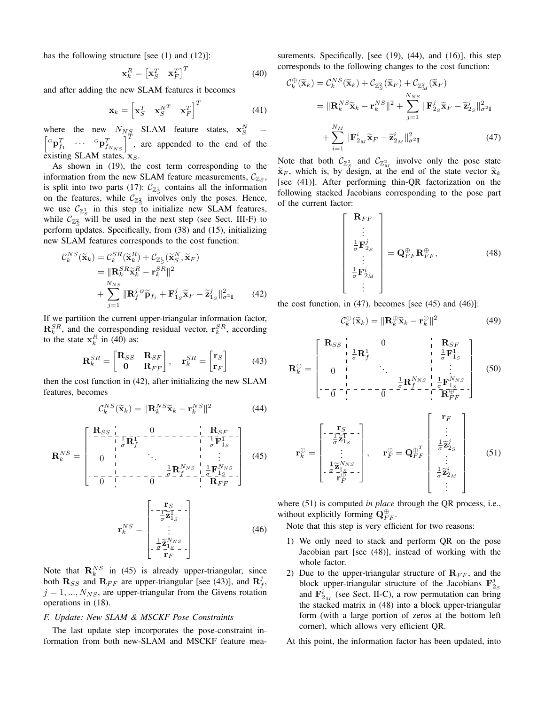has the following structure [see (1) and (12)]:

$$
\mathbf{x}_k^R = \begin{bmatrix} \mathbf{x}_S^T & \mathbf{x}_F^T \end{bmatrix}^T
$$
 (40)

and after adding the new SLAM features it becomes

$$
\mathbf{x}_{k} = \begin{bmatrix} \mathbf{x}_{S}^{T} & \mathbf{x}_{S}^{N^{T}} & \mathbf{x}_{F}^{T} \end{bmatrix}^{T}
$$
 (41)

where the new  $N_{NS}$  SLAM feature states,  $\mathbf{x}_S^N =$ <br>  $\begin{bmatrix} G_{\mathbf{n}}T & \cdots & G_{\mathbf{n}}T \end{bmatrix}^T$  are appended to the and of the  ${}^G\mathbf{p}_{f_1}^T$   $\cdots$   ${}^G\mathbf{p}_{f_{N_{NS}}}^T$   $\Big|^T$ , are appended to the end of the existing SLAM states, **x***S*.

As shown in (19), the cost term corresponding to the information from the new SLAM feature measurements,  $\mathcal{C}_{\mathbb{Z}_S}$ , is split into two parts (17):  $\mathcal{C}_{\mathbb{Z}_S}$  contains all the information on the features, while  $C_{\mathbb{Z}_S^2}$  involves only the poses. Hence, we use  $\mathcal{C}_{\mathbb{Z}_S^1}$  in this step to initialize new SLAM features, while  $C_{\mathbb{Z}_S^2}$  will be used in the next step (see Sect. III-F) to perform updates. Specifically, from (38) and (15), initializing new SLAM features corresponds to the cost function:

$$
C_k^{NS}(\widetilde{\mathbf{x}}_k) = C_k^{SR}(\widetilde{\mathbf{x}}_k^R) + C_{\mathbb{Z}_S^1}(\widetilde{\mathbf{x}}_S^N, \widetilde{\mathbf{x}}_F)
$$
  
\n
$$
= \|\mathbf{R}_k^{SR}\widetilde{\mathbf{x}}_k^R - \mathbf{r}_k^{SR}\|^2
$$
  
\n
$$
+ \sum_{j=1}^{N_{NS}} \|\mathbf{R}_f^{j \, G}\widetilde{\mathbf{p}}_{f_j} + \mathbf{F}_{1_S}^j\widetilde{\mathbf{x}}_F - \widetilde{\mathbf{z}}_{1_S}^j\|^2_{\sigma^2 \mathbf{I}}
$$
(42)

If we partition the current upper-triangular information factor,  $\mathbf{R}_k^{SR}$ , and the corresponding residual vector,  $\mathbf{r}_k^{SR}$ , according to the state  $x_k^R$  in (40) as:

$$
\mathbf{R}_k^{SR} = \begin{bmatrix} \mathbf{R}_{SS} & \mathbf{R}_{SF} \\ \mathbf{0} & \mathbf{R}_{FF} \end{bmatrix}, \quad \mathbf{r}_k^{SR} = \begin{bmatrix} \mathbf{r}_S \\ \mathbf{r}_F \end{bmatrix} \tag{43}
$$

then the cost function in (42), after initializing the new SLAM features, becomes

$$
\mathcal{C}_k^{NS}(\widetilde{\mathbf{x}}_k) = \|\mathbf{R}_k^{NS}\widetilde{\mathbf{x}}_k - \mathbf{r}_k^{NS}\|^2 \tag{44}
$$

$$
\mathbf{R}_{k}^{NS} = \begin{bmatrix} \mathbf{R}_{SS} & \frac{1}{2} & \frac{1}{2} \mathbf{R}_{f}^{1} & -\frac{0}{2} & - - - - - - - \frac{1}{2} & \frac{1}{2} \mathbf{F}_{1s}^{T} \\ \frac{1}{2} & \frac{1}{2} & \frac{1}{2} & \frac{1}{2} \\ \frac{1}{2} & \frac{1}{2} & \frac{1}{2} & \frac{1}{2} \mathbf{R}_{f}^{N_{NS}} & \frac{1}{2} & \frac{1}{2} \mathbf{F}_{1s}^{N_{NS}} \\ -\frac{1}{2} & - \frac{1}{2} & - - - - - \frac{1}{2} & - \frac{\frac{1}{2} \mathbf{R}_{f}^{N_{NS}}}{2} & - \frac{1}{2} & \frac{1}{2} \mathbf{F}_{1s}^{N_{NS}} \end{bmatrix} \tag{45}
$$

$$
\mathbf{r}_k^{NS} = \begin{bmatrix} \mathbf{r}_S \\ -\frac{1}{\sigma} \mathbf{\tilde{z}}_{1_S}^{\mathsf{T}} - \mathbf{r}_S \\ \vdots \\ -\frac{1}{\sigma} \mathbf{\tilde{z}}_{1_S}^{N_{NS}} \\ \mathbf{r}_F \end{bmatrix}
$$
(46)

Note that  $\mathbf{R}_k^{NS}$  in (45) is already upper-triangular, since both  $\mathbf{R}_{SS}$  and  $\mathbf{R}_{FF}$  are upper-triangular [see (43)], and  $\mathbf{R}_f^j$ ,  $j = 1, ..., N_{NS}$ , are upper-triangular from the Givens rotation operations in (18).

## *F. Update: New SLAM & MSCKF Pose Constraints*

The last update step incorporates the pose-constraint information from both new-SLAM and MSCKF feature mea-

surements. Specifically, [see (19), (44), and (16)], this step corresponds to the following changes to the cost function:

$$
\mathcal{C}_{k}^{\oplus}(\widetilde{\mathbf{x}}_{k}) = \mathcal{C}_{k}^{NS}(\widetilde{\mathbf{x}}_{k}) + \mathcal{C}_{\mathbb{Z}_{S}^{2}}(\widetilde{\mathbf{x}}_{F}) + \mathcal{C}_{\mathbb{Z}_{M}^{2}}(\widetilde{\mathbf{x}}_{F})
$$
\n
$$
= \|\mathbf{R}_{k}^{NS}\widetilde{\mathbf{x}}_{k} - \mathbf{r}_{k}^{NS}\|^{2} + \sum_{j=1}^{N_{NS}} \|\mathbf{F}_{2_{S}}^{j}\widetilde{\mathbf{x}}_{F} - \widetilde{\mathbf{z}}_{2_{S}}^{j}\|_{\sigma^{2}\mathbf{I}}^{2}
$$
\n
$$
+ \sum_{i=1}^{N_{M}} \|\mathbf{F}_{2_{M}}^{i}\widetilde{\mathbf{x}}_{F} - \widetilde{\mathbf{z}}_{2_{M}}^{i}\|_{\sigma^{2}\mathbf{I}}^{2} \tag{47}
$$

Note that both  $\mathcal{C}_{\mathbb{Z}_S^2}$  and  $\mathcal{C}_{\mathbb{Z}_M^2}$  involve only the pose state  $\widetilde{\mathbf{x}}_F$ , which is, by design, at the end of the state vector  $\widetilde{\mathbf{x}}_k$ [see (41)]. After performing thin-QR factorization on the following stacked Jacobians corresponding to the pose part of the current factor:

$$
\begin{bmatrix}\n\mathbf{R}_{FF} \\
\vdots \\
\frac{1}{\sigma}\mathbf{F}_{2s}^{j} \\
\vdots \\
\frac{1}{\sigma}\mathbf{F}_{2M}^{i} \\
\vdots\n\end{bmatrix} = \mathbf{Q}_{FF}^{\oplus}\mathbf{R}_{FF}^{\oplus},
$$
\n(48)

the cost function, in  $(47)$ , becomes [see  $(45)$  and  $(46)$ ]:

$$
\mathcal{C}_k^{\oplus}(\widetilde{\mathbf{x}}_k) = \|\mathbf{R}_k^{\oplus} \widetilde{\mathbf{x}}_k - \mathbf{r}_k^{\oplus}\|^2 \tag{49}
$$

$$
\mathbf{R}_{k}^{\oplus} = \begin{bmatrix} \mathbf{R}_{SS} - \mathbf{I}_{\overline{\sigma}} & \mathbf{I}_{\overline{\sigma}} & \mathbf{I}_{\overline{\sigma}} \\ \mathbf{I}_{\overline{\sigma}} & \mathbf{I}_{\overline{\sigma}} & \mathbf{I}_{\overline{\sigma}} \\ \mathbf{I}_{\overline{\sigma}} & \mathbf{I}_{\overline{\sigma}} & \mathbf{I}_{\overline{\sigma}} \\ \mathbf{I}_{\overline{\sigma}} & \mathbf{I}_{\overline{\sigma}} & \mathbf{I}_{\overline{\sigma}} \end{bmatrix} \quad (50)
$$
\n
$$
\mathbf{R}_{k}^{\oplus} = \begin{bmatrix} \mathbf{I}_{\overline{\sigma}} & \mathbf{I}_{\overline{\sigma}} & \mathbf{I}_{\overline{\sigma}} & \mathbf{I}_{\overline{\sigma}} \\ \mathbf{I}_{\overline{\sigma}} & \mathbf{I}_{\overline{\sigma}} & \mathbf{I}_{\overline{\sigma}} & \mathbf{I}_{\overline{\sigma}} \\ \mathbf{I}_{\overline{\sigma}} & \mathbf{I}_{\overline{\sigma}} & \mathbf{I}_{\overline{\sigma}} & \mathbf{I}_{\overline{\sigma}} \end{bmatrix} \quad (50)
$$
\n
$$
\mathbf{r}_{k}^{\oplus} = \begin{bmatrix} \mathbf{I}_{\overline{S}} & \mathbf{I}_{\overline{\sigma}} & \mathbf{I}_{\overline{\sigma}} & \mathbf{I}_{\overline{\sigma}} \\ \mathbf{I}_{\overline{\sigma}} & \mathbf{I}_{\overline{S}} & \mathbf{I}_{\overline{\sigma}} \\ \mathbf{I}_{\overline{\sigma}} & \mathbf{I}_{\overline{S}} & \mathbf{I}_{\overline{\sigma}} \\ \mathbf{I}_{\overline{\sigma}} & \mathbf{I}_{\overline{S}} & \mathbf{I}_{\overline{\sigma}} \end{bmatrix}, \quad \mathbf{r}_{\overline{F}}^{\oplus} = \mathbf{Q}_{FF}^{\oplus T} \begin{bmatrix} \mathbf{I}_{F} \\ \mathbf{I}_{\overline{\sigma}} \\ \mathbf{I}_{\overline{\sigma}}^{j} \\ \mathbf{I}_{\overline{\sigma}}^{j} \\ \mathbf{I}_{\overline{\sigma}}^{j} \end{bmatrix} \quad (51)
$$

where (51) is computed *in place* through the QR process, i.e., without explicitly forming  $\mathbf{Q}_{FF}^{\oplus}$ .

- Note that this step is very efficient for two reasons:
- 1) We only need to stack and perform QR on the pose Jacobian part [see (48)], instead of working with the whole factor.
- 2) Due to the upper-triangular structure of  $\mathbf{R}_{FF}$ , and the block upper-triangular structure of the Jacobians  $\mathbf{F}_{2s}^{j}$ and  $\mathbf{F}_{2M}^{i}$  (see Sect. II-C), a row permutation can bring the stacked matrix in (48) into a block upper-triangular form (with a large portion of zeros at the bottom left corner), which allows very efficient QR.
- At this point, the information factor has been updated, into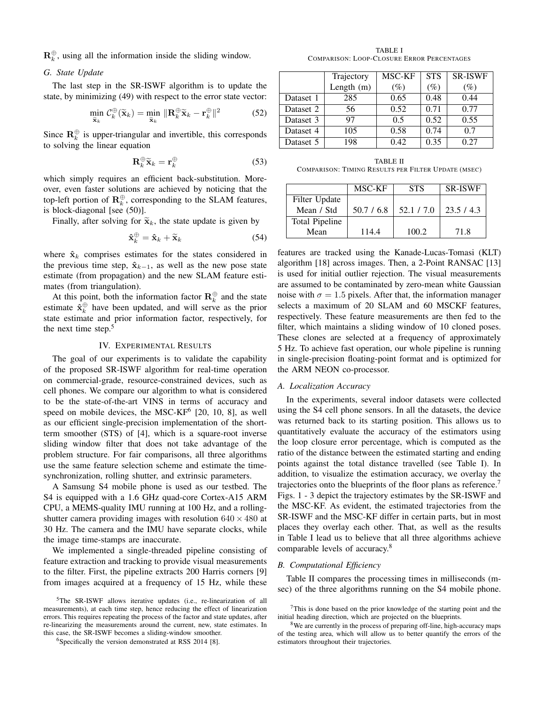$\mathbf{R}_k^{\oplus}$ , using all the information inside the sliding window.

## *G. State Update*

The last step in the SR-ISWF algorithm is to update the state, by minimizing (49) with respect to the error state vector:

$$
\min_{\widetilde{\mathbf{x}}_k} \mathcal{C}_k^{\oplus}(\widetilde{\mathbf{x}}_k) = \min_{\widetilde{\mathbf{x}}_k} \|\mathbf{R}_k^{\oplus} \widetilde{\mathbf{x}}_k - \mathbf{r}_k^{\oplus}\|^2 \tag{52}
$$

Since  $\mathbf{R}_k^{\oplus}$  is upper-triangular and invertible, this corresponds to solving the linear equation

$$
\mathbf{R}_k^{\oplus} \widetilde{\mathbf{x}}_k = \mathbf{r}_k^{\oplus} \tag{53}
$$

which simply requires an efficient back-substitution. Moreover, even faster solutions are achieved by noticing that the top-left portion of  $\mathbf{R}_k^{\oplus}$ , corresponding to the SLAM features, is block-diagonal [see (50)].

Finally, after solving for  $\tilde{\mathbf{x}}_k$ , the state update is given by

$$
\hat{\mathbf{x}}_k^{\oplus} = \hat{\mathbf{x}}_k + \widetilde{\mathbf{x}}_k \tag{54}
$$

where  $\hat{\mathbf{x}}_k$  comprises estimates for the states considered in the previous time step,  $\hat{\mathbf{x}}_{k-1}$ , as well as the new pose state estimate (from propagation) and the new SLAM feature estimates (from triangulation).

At this point, both the information factor  $\mathbf{R}_k^{\oplus}$  and the state estimate  $\hat{\mathbf{x}}_k^{\oplus}$  have been updated, and will serve as the prior state estimate and prior information factor, respectively, for the next time step.<sup>5</sup>

## IV. EXPERIMENTAL RESULTS

The goal of our experiments is to validate the capability of the proposed SR-ISWF algorithm for real-time operation on commercial-grade, resource-constrained devices, such as cell phones. We compare our algorithm to what is considered to be the state-of-the-art VINS in terms of accuracy and speed on mobile devices, the MSC-KF<sup>6</sup> [20, 10, 8], as well as our efficient single-precision implementation of the shortterm smoother (STS) of [4], which is a square-root inverse sliding window filter that does not take advantage of the problem structure. For fair comparisons, all three algorithms use the same feature selection scheme and estimate the timesynchronization, rolling shutter, and extrinsic parameters.

A Samsung S4 mobile phone is used as our testbed. The S4 is equipped with a 1.6 GHz quad-core Cortex-A15 ARM CPU, a MEMS-quality IMU running at 100 Hz, and a rollingshutter camera providing images with resolution  $640 \times 480$  at 30 Hz. The camera and the IMU have separate clocks, while the image time-stamps are inaccurate.

We implemented a single-threaded pipeline consisting of feature extraction and tracking to provide visual measurements to the filter. First, the pipeline extracts 200 Harris corners [9] from images acquired at a frequency of 15 Hz, while these

TABLE I COMPARISON: LOOP-CLOSURE ERROR PERCENTAGES

|           | Trajectory | MSC-KF          | <b>STS</b> | <b>SR-ISWF</b>  |
|-----------|------------|-----------------|------------|-----------------|
|           | Length (m) | $\mathscr{O}_0$ | $(\%)$     | $\mathscr{G}_o$ |
| Dataset 1 | 285        | 0.65            | 0.48       | 0.44            |
| Dataset 2 | 56         | 0.52            | 0.71       | 0.77            |
| Dataset 3 | 97         | 0.5             | 0.52       | 0.55            |
| Dataset 4 | 105        | 0.58            | 0.74       | 07              |
| Dataset 5 | 198        | 0.42            | 0.35       | 0.27            |

TABLE II COMPARISON: TIMING RESULTS PER FILTER UPDATE (MSEC)

|                | MSC-KF     | <b>STS</b> | <b>SR-ISWF</b> |
|----------------|------------|------------|----------------|
| Filter Update  |            |            |                |
| Mean / Std     | 50.7 / 6.8 | 52.1 / 7.0 | 23.5/4.3       |
| Total Pipeline |            |            |                |
| Mean           | 114.4      | 100.2      | 71.8           |

features are tracked using the Kanade-Lucas-Tomasi (KLT) algorithm [18] across images. Then, a 2-Point RANSAC [13] is used for initial outlier rejection. The visual measurements are assumed to be contaminated by zero-mean white Gaussian noise with  $\sigma = 1.5$  pixels. After that, the information manager selects a maximum of 20 SLAM and 60 MSCKF features, respectively. These feature measurements are then fed to the filter, which maintains a sliding window of 10 cloned poses. These clones are selected at a frequency of approximately 5 Hz. To achieve fast operation, our whole pipeline is running in single-precision floating-point format and is optimized for the ARM NEON co-processor.

### *A. Localization Accuracy*

In the experiments, several indoor datasets were collected using the S4 cell phone sensors. In all the datasets, the device was returned back to its starting position. This allows us to quantitatively evaluate the accuracy of the estimators using the loop closure error percentage, which is computed as the ratio of the distance between the estimated starting and ending points against the total distance travelled (see Table I). In addition, to visualize the estimation accuracy, we overlay the trajectories onto the blueprints of the floor plans as reference.<sup>7</sup> Figs. 1 - 3 depict the trajectory estimates by the SR-ISWF and the MSC-KF. As evident, the estimated trajectories from the SR-ISWF and the MSC-KF differ in certain parts, but in most places they overlay each other. That, as well as the results in Table I lead us to believe that all three algorithms achieve comparable levels of accuracy.<sup>8</sup>

#### *B. Computational Efficiency*

Table II compares the processing times in milliseconds (msec) of the three algorithms running on the S4 mobile phone.

<sup>5</sup>The SR-ISWF allows iterative updates (i.e., re-linearization of all measurements), at each time step, hence reducing the effect of linearization errors. This requires repeating the process of the factor and state updates, after re-linearizing the measurements around the current, new, state estimates. In this case, the SR-ISWF becomes a sliding-window smoother.

<sup>6</sup>Specifically the version demonstrated at RSS 2014 [8].

<sup>7</sup>This is done based on the prior knowledge of the starting point and the initial heading direction, which are projected on the blueprints.

<sup>&</sup>lt;sup>8</sup>We are currently in the process of preparing off-line, high-accuracy maps of the testing area, which will allow us to better quantify the errors of the estimators throughout their trajectories.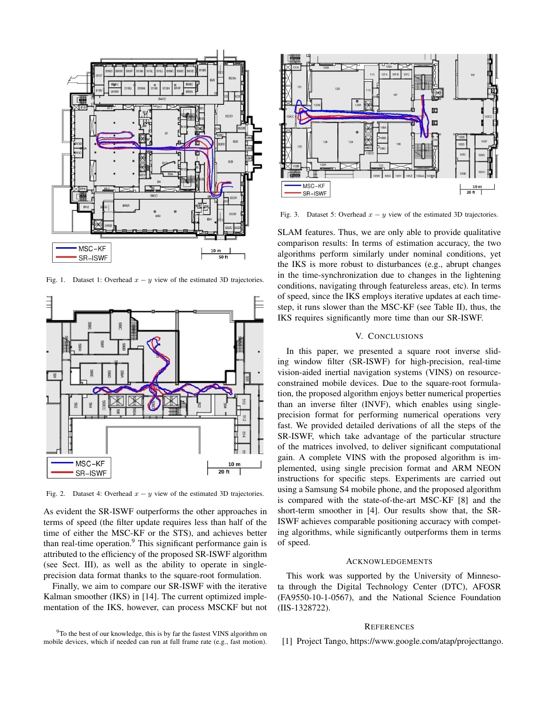

Fig. 1. Dataset 1: Overhead  $x - y$  view of the estimated 3D trajectories.



Fig. 2. Dataset 4: Overhead  $x - y$  view of the estimated 3D trajectories.

As evident the SR-ISWF outperforms the other approaches in terms of speed (the filter update requires less than half of the time of either the MSC-KF or the STS), and achieves better than real-time operation.<sup>9</sup> This significant performance gain is attributed to the efficiency of the proposed SR-ISWF algorithm (see Sect. III), as well as the ability to operate in singleprecision data format thanks to the square-root formulation.

Finally, we aim to compare our SR-ISWF with the iterative Kalman smoother (IKS) in [14]. The current optimized implementation of the IKS, however, can process MSCKF but not



Fig. 3. Dataset 5: Overhead  $x - y$  view of the estimated 3D trajectories.

SLAM features. Thus, we are only able to provide qualitative comparison results: In terms of estimation accuracy, the two algorithms perform similarly under nominal conditions, yet the IKS is more robust to disturbances (e.g., abrupt changes in the time-synchronization due to changes in the lightening conditions, navigating through featureless areas, etc). In terms of speed, since the IKS employs iterative updates at each timestep, it runs slower than the MSC-KF (see Table II), thus, the IKS requires significantly more time than our SR-ISWF.

# V. CONCLUSIONS

In this paper, we presented a square root inverse sliding window filter (SR-ISWF) for high-precision, real-time vision-aided inertial navigation systems (VINS) on resourceconstrained mobile devices. Due to the square-root formulation, the proposed algorithm enjoys better numerical properties than an inverse filter (INVF), which enables using singleprecision format for performing numerical operations very fast. We provided detailed derivations of all the steps of the SR-ISWF, which take advantage of the particular structure of the matrices involved, to deliver significant computational gain. A complete VINS with the proposed algorithm is implemented, using single precision format and ARM NEON instructions for specific steps. Experiments are carried out using a Samsung S4 mobile phone, and the proposed algorithm is compared with the state-of-the-art MSC-KF [8] and the short-term smoother in [4]. Our results show that, the SR-ISWF achieves comparable positioning accuracy with competing algorithms, while significantly outperforms them in terms of speed.

### ACKNOWLEDGEMENTS

This work was supported by the University of Minnesota through the Digital Technology Center (DTC), AFOSR (FA9550-10-1-0567), and the National Science Foundation (IIS-1328722).

### **REFERENCES**

<sup>9</sup>To the best of our knowledge, this is by far the fastest VINS algorithm on mobile devices, which if needed can run at full frame rate (e.g., fast motion).

[1] Project Tango, https://www.google.com/atap/projecttango.